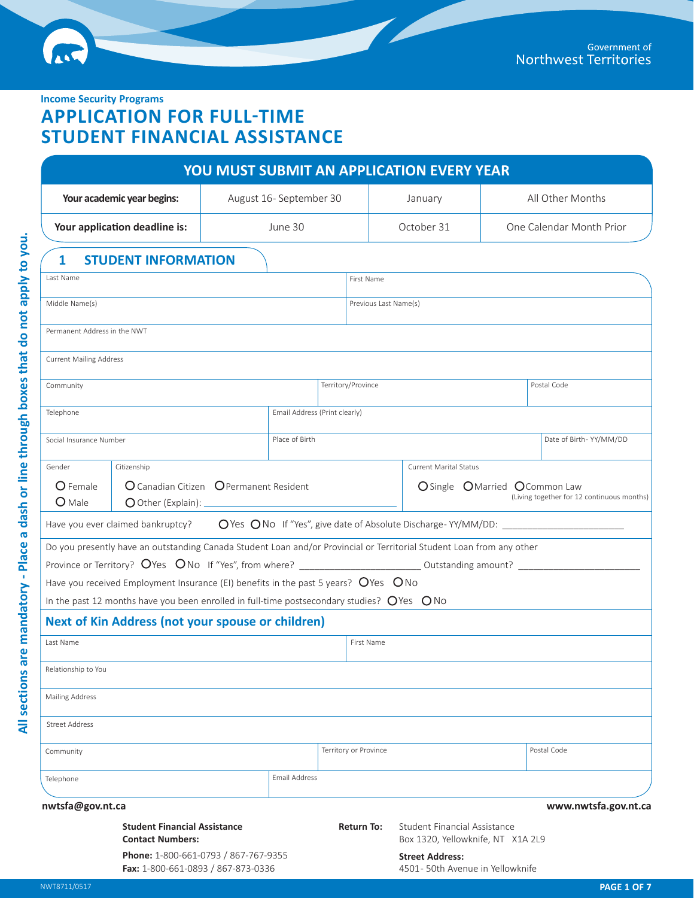**Income Security Programs**

# **APPLICATION FOR FULL-TIME STUDENT FINANCIAL ASSISTANCE**

| YOU MUST SUBMIT AN APPLICATION EVERY YEAR                                                                             |                                      |                               |                                                                          |                                            |  |  |
|-----------------------------------------------------------------------------------------------------------------------|--------------------------------------|-------------------------------|--------------------------------------------------------------------------|--------------------------------------------|--|--|
| Your academic year begins:                                                                                            | August 16- September 30              |                               | January                                                                  | All Other Months                           |  |  |
| Your application deadline is:                                                                                         | June 30                              |                               | October 31                                                               | One Calendar Month Prior                   |  |  |
| <b>STUDENT INFORMATION</b><br>1                                                                                       |                                      |                               |                                                                          |                                            |  |  |
| Last Name                                                                                                             |                                      | First Name                    |                                                                          |                                            |  |  |
| Middle Name(s)                                                                                                        |                                      |                               | Previous Last Name(s)                                                    |                                            |  |  |
| Permanent Address in the NWT                                                                                          |                                      |                               |                                                                          |                                            |  |  |
|                                                                                                                       |                                      |                               |                                                                          |                                            |  |  |
| <b>Current Mailing Address</b>                                                                                        |                                      |                               |                                                                          |                                            |  |  |
| Community                                                                                                             |                                      | Territory/Province            |                                                                          | Postal Code                                |  |  |
| Telephone                                                                                                             |                                      | Email Address (Print clearly) |                                                                          |                                            |  |  |
|                                                                                                                       |                                      |                               |                                                                          |                                            |  |  |
| Social Insurance Number                                                                                               | Place of Birth                       |                               |                                                                          | Date of Birth-YY/MM/DD                     |  |  |
| Citizenship<br>Gender                                                                                                 |                                      |                               | <b>Current Marital Status</b>                                            |                                            |  |  |
| O Canadian Citizen O Permanent Resident<br>O Female<br>O Single OMarried O Common Law                                 |                                      |                               |                                                                          |                                            |  |  |
| O Male                                                                                                                |                                      |                               |                                                                          | (Living together for 12 continuous months) |  |  |
|                                                                                                                       |                                      |                               |                                                                          |                                            |  |  |
| Do you presently have an outstanding Canada Student Loan and/or Provincial or Territorial Student Loan from any other |                                      |                               |                                                                          |                                            |  |  |
|                                                                                                                       |                                      |                               |                                                                          |                                            |  |  |
| Have you received Employment Insurance (EI) benefits in the past 5 years? $O$ Yes $O$ No                              |                                      |                               |                                                                          |                                            |  |  |
| In the past 12 months have you been enrolled in full-time postsecondary studies? $O$ Yes $O$ No                       |                                      |                               |                                                                          |                                            |  |  |
| Next of Kin Address (not your spouse or children)                                                                     |                                      |                               |                                                                          |                                            |  |  |
| Last Name                                                                                                             |                                      | First Name                    |                                                                          |                                            |  |  |
| Relationship to You                                                                                                   |                                      |                               |                                                                          |                                            |  |  |
|                                                                                                                       |                                      |                               |                                                                          |                                            |  |  |
| <b>Mailing Address</b>                                                                                                |                                      |                               |                                                                          |                                            |  |  |
| <b>Street Address</b>                                                                                                 |                                      |                               |                                                                          |                                            |  |  |
| Community                                                                                                             |                                      | Territory or Province         |                                                                          | Postal Code                                |  |  |
|                                                                                                                       |                                      |                               |                                                                          |                                            |  |  |
| Telephone                                                                                                             | Email Address                        |                               |                                                                          |                                            |  |  |
| nwtsfa@gov.nt.ca                                                                                                      |                                      |                               |                                                                          | www.nwtsfa.gov.nt.ca                       |  |  |
| <b>Student Financial Assistance</b><br><b>Contact Numbers:</b>                                                        |                                      | <b>Return To:</b>             | <b>Student Financial Assistance</b><br>Box 1320, Yellowknife, NT X1A 2L9 |                                            |  |  |
| Fax: 1-800-661-0893 / 867-873-0336                                                                                    | Phone: 1-800-661-0793 / 867-767-9355 |                               | <b>Street Address:</b><br>4501-50th Avenue in Yellowknife                |                                            |  |  |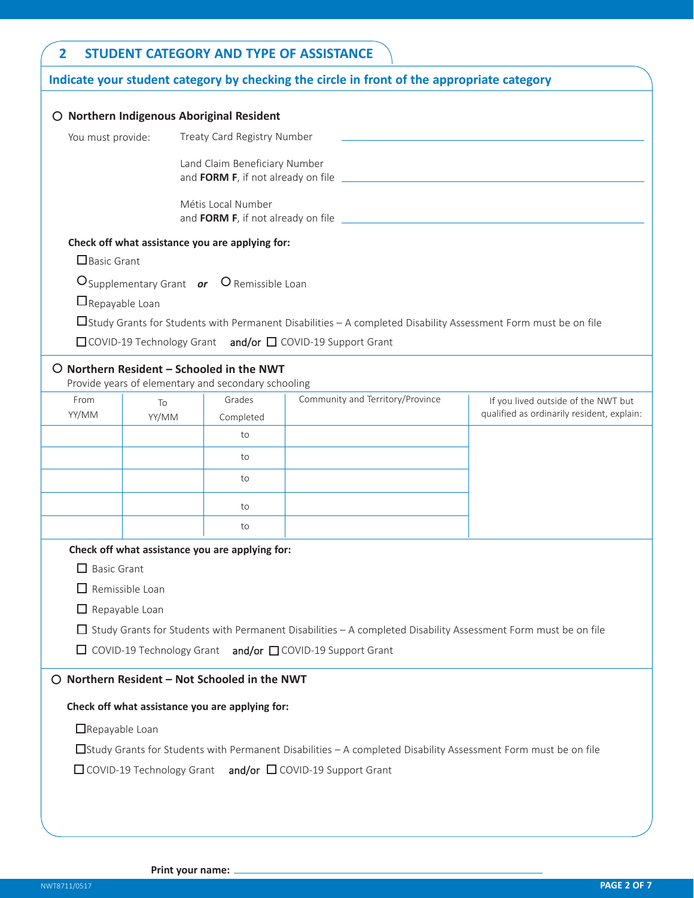| $\overline{2}$         |                                                  |                                                                                                           | <b>STUDENT CATEGORY AND TYPE OF ASSISTANCE</b>                                                                        |                                            |  |  |  |
|------------------------|--------------------------------------------------|-----------------------------------------------------------------------------------------------------------|-----------------------------------------------------------------------------------------------------------------------|--------------------------------------------|--|--|--|
|                        |                                                  |                                                                                                           | Indicate your student category by checking the circle in front of the appropriate category                            |                                            |  |  |  |
|                        |                                                  | O Northern Indigenous Aboriginal Resident                                                                 |                                                                                                                       |                                            |  |  |  |
|                        |                                                  |                                                                                                           |                                                                                                                       |                                            |  |  |  |
|                        | You must provide:<br>Treaty Card Registry Number |                                                                                                           |                                                                                                                       |                                            |  |  |  |
|                        | Land Claim Beneficiary Number                    |                                                                                                           |                                                                                                                       |                                            |  |  |  |
|                        |                                                  | Métis Local Number                                                                                        |                                                                                                                       |                                            |  |  |  |
|                        |                                                  | Check off what assistance you are applying for:                                                           |                                                                                                                       |                                            |  |  |  |
| $\Box$ Basic Grant     |                                                  |                                                                                                           |                                                                                                                       |                                            |  |  |  |
|                        |                                                  | O Supplementary Grant or O Remissible Loan                                                                |                                                                                                                       |                                            |  |  |  |
| $\Box$ Repayable Loan  |                                                  |                                                                                                           |                                                                                                                       |                                            |  |  |  |
|                        |                                                  |                                                                                                           | □Study Grants for Students with Permanent Disabilities – A completed Disability Assessment Form must be on file       |                                            |  |  |  |
|                        |                                                  |                                                                                                           | □ COVID-19 Technology Grant and/or □ COVID-19 Support Grant                                                           |                                            |  |  |  |
|                        |                                                  | $\bigcirc$ Northern Resident - Schooled in the NWT<br>Provide years of elementary and secondary schooling |                                                                                                                       |                                            |  |  |  |
| From                   | To                                               | Grades                                                                                                    | Community and Territory/Province                                                                                      | If you lived outside of the NWT but        |  |  |  |
| YY/MM                  | YY/MM                                            | Completed                                                                                                 |                                                                                                                       | qualified as ordinarily resident, explain: |  |  |  |
|                        |                                                  | to                                                                                                        |                                                                                                                       |                                            |  |  |  |
|                        |                                                  | to                                                                                                        |                                                                                                                       |                                            |  |  |  |
|                        |                                                  | to                                                                                                        |                                                                                                                       |                                            |  |  |  |
|                        |                                                  | to                                                                                                        |                                                                                                                       |                                            |  |  |  |
|                        |                                                  | to                                                                                                        |                                                                                                                       |                                            |  |  |  |
|                        |                                                  | Check off what assistance you are applying for:                                                           |                                                                                                                       |                                            |  |  |  |
| $\Box$ Basic Grant     |                                                  |                                                                                                           |                                                                                                                       |                                            |  |  |  |
| $\Box$ Remissible Loan |                                                  |                                                                                                           |                                                                                                                       |                                            |  |  |  |
| $\Box$ Repayable Loan  |                                                  |                                                                                                           |                                                                                                                       |                                            |  |  |  |
|                        |                                                  |                                                                                                           | $\Box$ Study Grants for Students with Permanent Disabilities – A completed Disability Assessment Form must be on file |                                            |  |  |  |
|                        |                                                  |                                                                                                           | $\Box$ COVID-19 Technology Grant and/or $\Box$ COVID-19 Support Grant                                                 |                                            |  |  |  |
|                        |                                                  |                                                                                                           |                                                                                                                       |                                            |  |  |  |
|                        |                                                  | O Northern Resident - Not Schooled in the NWT                                                             |                                                                                                                       |                                            |  |  |  |
|                        |                                                  | Check off what assistance you are applying for:                                                           |                                                                                                                       |                                            |  |  |  |
| Repayable Loan         |                                                  |                                                                                                           |                                                                                                                       |                                            |  |  |  |
|                        |                                                  |                                                                                                           | □Study Grants for Students with Permanent Disabilities – A completed Disability Assessment Form must be on file       |                                            |  |  |  |
|                        |                                                  |                                                                                                           | $\Box$ COVID-19 Technology Grant and/or $\Box$ COVID-19 Support Grant                                                 |                                            |  |  |  |
|                        |                                                  |                                                                                                           |                                                                                                                       |                                            |  |  |  |
|                        |                                                  |                                                                                                           |                                                                                                                       |                                            |  |  |  |
|                        |                                                  |                                                                                                           |                                                                                                                       |                                            |  |  |  |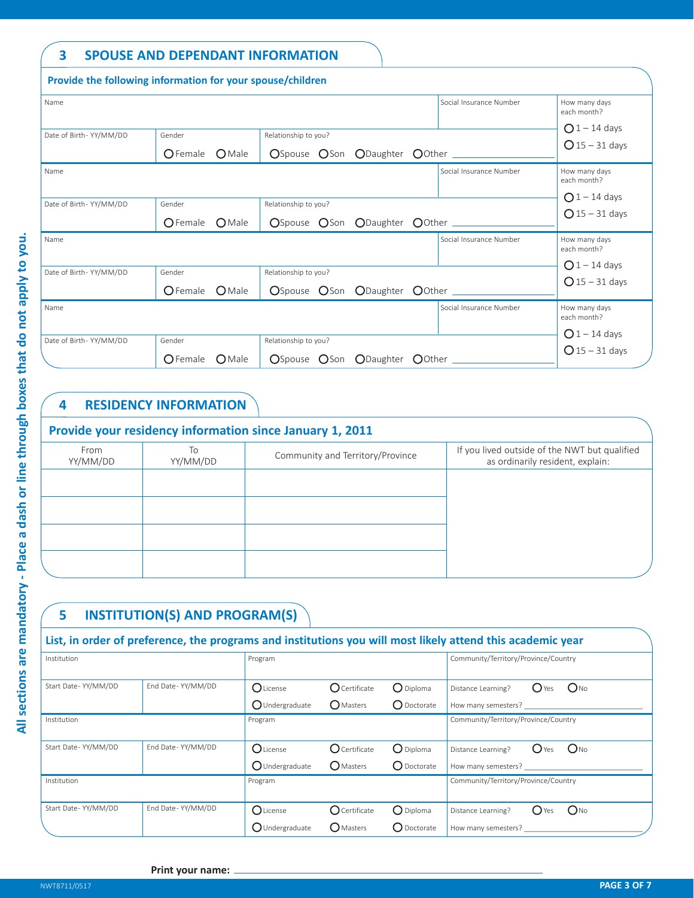### **3 SPOUSE AND DEPENDANT INFORMATION**

|                        | Provide the following information for your spouse/children |                                                       |                                    |
|------------------------|------------------------------------------------------------|-------------------------------------------------------|------------------------------------|
| Name                   |                                                            | Social Insurance Number                               | How many days<br>each month?       |
| Date of Birth-YY/MM/DD | Gender<br>$\bigcirc$ Female<br>$O$ Male                    | Relationship to you?<br>OSpouse OSon ODaughter OOther | $Q1 - 14$ days<br>$Q$ 15 - 31 days |
| Name                   |                                                            | Social Insurance Number                               | How many days<br>each month?       |
| Date of Birth-YY/MM/DD | Gender<br>$\bigcirc$ Female<br>$O$ Male                    | Relationship to you?<br>OSpouse OSon ODaughter OOther | $Q1 - 14$ days<br>$Q$ 15 - 31 days |
| Name                   |                                                            | Social Insurance Number                               | How many days<br>each month?       |
| Date of Birth-YY/MM/DD | Gender<br>$O$ Male<br>$\bigcirc$ Female                    | Relationship to you?<br>OSpouse OSon ODaughter OOther | $Q1 - 14$ days<br>$Q$ 15 – 31 days |
| Name                   |                                                            | Social Insurance Number                               | How many days<br>each month?       |
| Date of Birth-YY/MM/DD | Gender<br>OFemale OMale                                    | Relationship to you?<br>OSpouse OSon ODaughter OOther | $Q1 - 14$ days<br>$Q$ 15 – 31 days |

## **4 RESIDENCY INFORMATION**

| Provide your residency information since January 1, 2011 |                |                                  |                                                                                   |  |  |
|----------------------------------------------------------|----------------|----------------------------------|-----------------------------------------------------------------------------------|--|--|
| From<br>YY/MM/DD                                         | To<br>YY/MM/DD | Community and Territory/Province | If you lived outside of the NWT but qualified<br>as ordinarily resident, explain: |  |  |
|                                                          |                |                                  |                                                                                   |  |  |
|                                                          |                |                                  |                                                                                   |  |  |
|                                                          |                |                                  |                                                                                   |  |  |
|                                                          |                |                                  |                                                                                   |  |  |

# **5 INSTITUTION(S) AND PROGRAM(S)**

### **List, in order of preference, the programs and institutions you will most likely attend this academic year**

| Institution         |                     | Program           |                        |                     | Community/Territory/Province/Country      |
|---------------------|---------------------|-------------------|------------------------|---------------------|-------------------------------------------|
|                     |                     |                   |                        |                     |                                           |
| Start Date-YY/MM/DD | End Date - YY/MM/DD | $O$ License       | $O$ Certificate        | $\bigcirc$ Diploma  | $O_{NQ}$<br>Distance Learning?<br>$O$ Yes |
|                     |                     | O Undergraduate   | <b>O</b> Masters       | $\bigcap$ Doctorate | How many semesters?                       |
| Institution         |                     | Program           |                        |                     | Community/Territory/Province/Country      |
|                     |                     |                   |                        |                     |                                           |
| Start Date-YY/MM/DD | End Date-YY/MM/DD   | <b>O</b> License  | $O$ Certificate        | $\bigcirc$ Diploma  | $O_{NQ}$<br>$O$ Yes<br>Distance Learning? |
|                     |                     | $O$ Undergraduate | <b>O</b> Masters       | O Doctorate         | How many semesters?                       |
| Institution         |                     | Program           |                        |                     | Community/Territory/Province/Country      |
|                     |                     |                   |                        |                     |                                           |
| Start Date-YY/MM/DD | End Date-YY/MM/DD   | $O$ License       | $\bigcirc$ Certificate | $\bigcirc$ Diploma  | $O_{NQ}$<br>$O$ Yes<br>Distance Learning? |
|                     |                     | OUndergraduate    | <b>O</b> Masters       | ◯ Doctorate         | How many semesters?                       |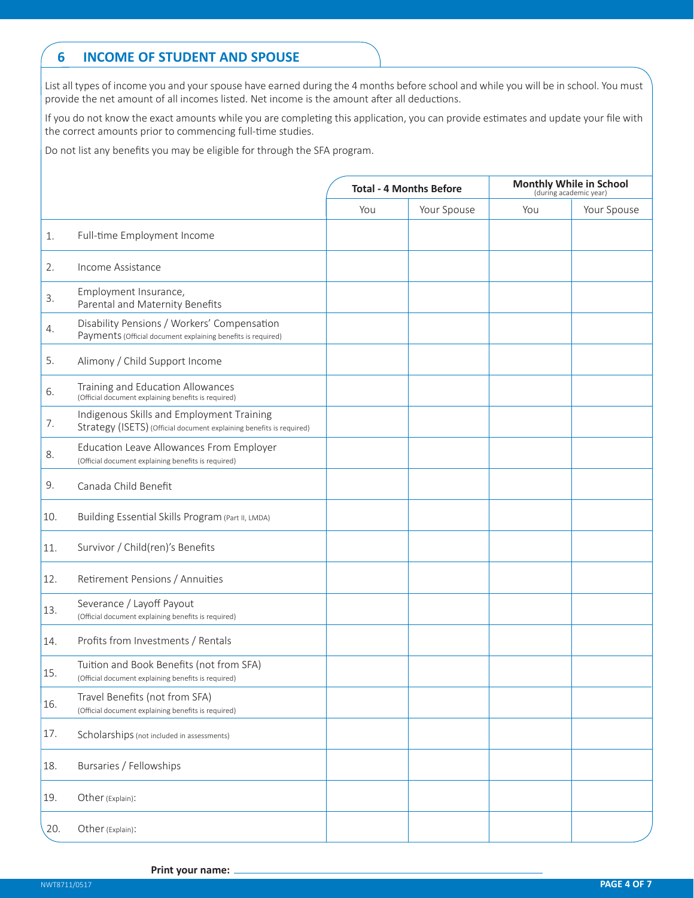### **6 INCOME OF STUDENT AND SPOUSE**

List all types of income you and your spouse have earned during the 4 months before school and while you will be in school. You must provide the net amount of all incomes listed. Net income is the amount after all deductions.

If you do not know the exact amounts while you are completing this application, you can provide estimates and update your file with the correct amounts prior to commencing full-time studies.

Do not list any benefits you may be eligible for through the SFA program.

|     |                                                                                                                   | <b>Total - 4 Months Before</b> |             | <b>Monthly While in School</b><br>(during academic year) |             |
|-----|-------------------------------------------------------------------------------------------------------------------|--------------------------------|-------------|----------------------------------------------------------|-------------|
|     |                                                                                                                   | You                            | Your Spouse | You                                                      | Your Spouse |
| 1.  | Full-time Employment Income                                                                                       |                                |             |                                                          |             |
| 2.  | Income Assistance                                                                                                 |                                |             |                                                          |             |
| 3.  | Employment Insurance,<br>Parental and Maternity Benefits                                                          |                                |             |                                                          |             |
| 4.  | Disability Pensions / Workers' Compensation<br>Payments (Official document explaining benefits is required)       |                                |             |                                                          |             |
| 5.  | Alimony / Child Support Income                                                                                    |                                |             |                                                          |             |
| 6.  | Training and Education Allowances<br>(Official document explaining benefits is required)                          |                                |             |                                                          |             |
| 7.  | Indigenous Skills and Employment Training<br>Strategy (ISETS) (Official document explaining benefits is required) |                                |             |                                                          |             |
| 8.  | Education Leave Allowances From Employer<br>(Official document explaining benefits is required)                   |                                |             |                                                          |             |
| 9.  | Canada Child Benefit                                                                                              |                                |             |                                                          |             |
| 10. | Building Essential Skills Program (Part II, LMDA)                                                                 |                                |             |                                                          |             |
| 11. | Survivor / Child(ren)'s Benefits                                                                                  |                                |             |                                                          |             |
| 12. | Retirement Pensions / Annuities                                                                                   |                                |             |                                                          |             |
| 13. | Severance / Layoff Payout<br>(Official document explaining benefits is required)                                  |                                |             |                                                          |             |
| 14. | Profits from Investments / Rentals                                                                                |                                |             |                                                          |             |
| 15. | Tuition and Book Benefits (not from SFA)<br>(Official document explaining benefits is required)                   |                                |             |                                                          |             |
| 16. | Travel Benefits (not from SFA)<br>(Official document explaining benefits is required)                             |                                |             |                                                          |             |
| 17. | Scholarships (not included in assessments)                                                                        |                                |             |                                                          |             |
| 18. | Bursaries / Fellowships                                                                                           |                                |             |                                                          |             |
| 19. | Other (Explain):                                                                                                  |                                |             |                                                          |             |
| 20. | Other (Explain):                                                                                                  |                                |             |                                                          |             |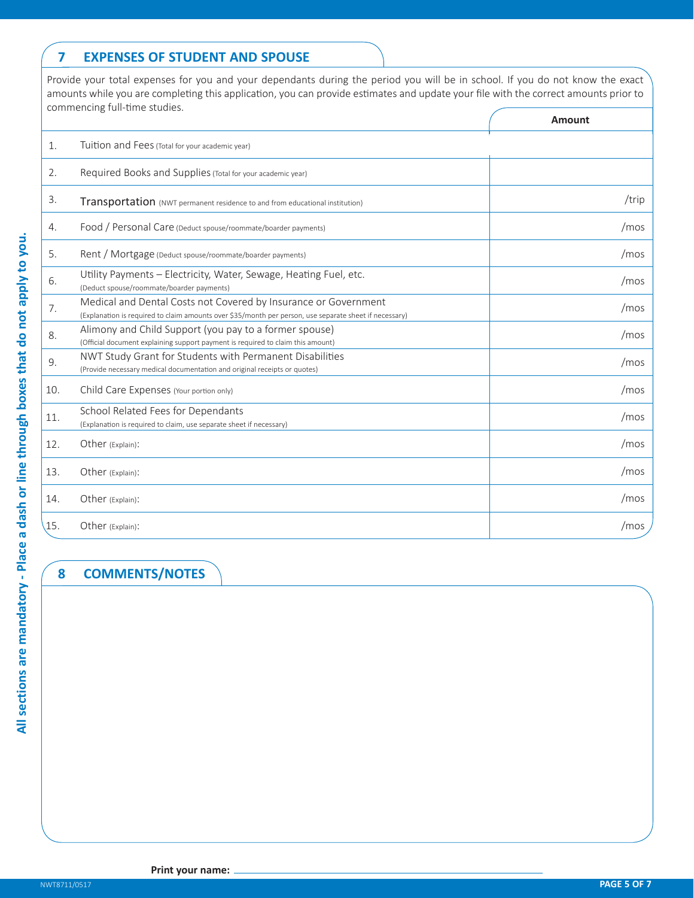### **7 EXPENSES OF STUDENT AND SPOUSE**

Provide your total expenses for you and your dependants during the period you will be in school. If you do not know the exact amounts while you are completing this application, you can provide estimates and update your file with the correct amounts prior to commencing full-time studies.

|                                                                                                                                                                           | Amount |
|---------------------------------------------------------------------------------------------------------------------------------------------------------------------------|--------|
| Tuition and Fees (Total for your academic year)                                                                                                                           |        |
| Required Books and Supplies (Total for your academic year)                                                                                                                |        |
| Transportation (NWT permanent residence to and from educational institution)                                                                                              | /trip  |
| Food / Personal Care (Deduct spouse/roommate/boarder payments)                                                                                                            | /mos   |
| Rent / Mortgage (Deduct spouse/roommate/boarder payments)                                                                                                                 | /mos   |
| Utility Payments - Electricity, Water, Sewage, Heating Fuel, etc.<br>(Deduct spouse/roommate/boarder payments)                                                            | /mos   |
| Medical and Dental Costs not Covered by Insurance or Government<br>(Explanation is required to claim amounts over \$35/month per person, use separate sheet if necessary) | /mos   |
| Alimony and Child Support (you pay to a former spouse)<br>(Official document explaining support payment is required to claim this amount)                                 | /mos   |
| NWT Study Grant for Students with Permanent Disabilities<br>(Provide necessary medical documentation and original receipts or quotes)                                     | /mos   |
| Child Care Expenses (Your portion only)                                                                                                                                   | /mos   |
| School Related Fees for Dependants<br>(Explanation is required to claim, use separate sheet if necessary)                                                                 | /mos   |
| Other (Explain):                                                                                                                                                          | /mos   |
| Other (Explain):                                                                                                                                                          | /mos   |
| Other (Explain):                                                                                                                                                          | /mos   |
| Other (Explain):                                                                                                                                                          | /mos   |
|                                                                                                                                                                           |        |

### **8 COMMENTS/NOTES**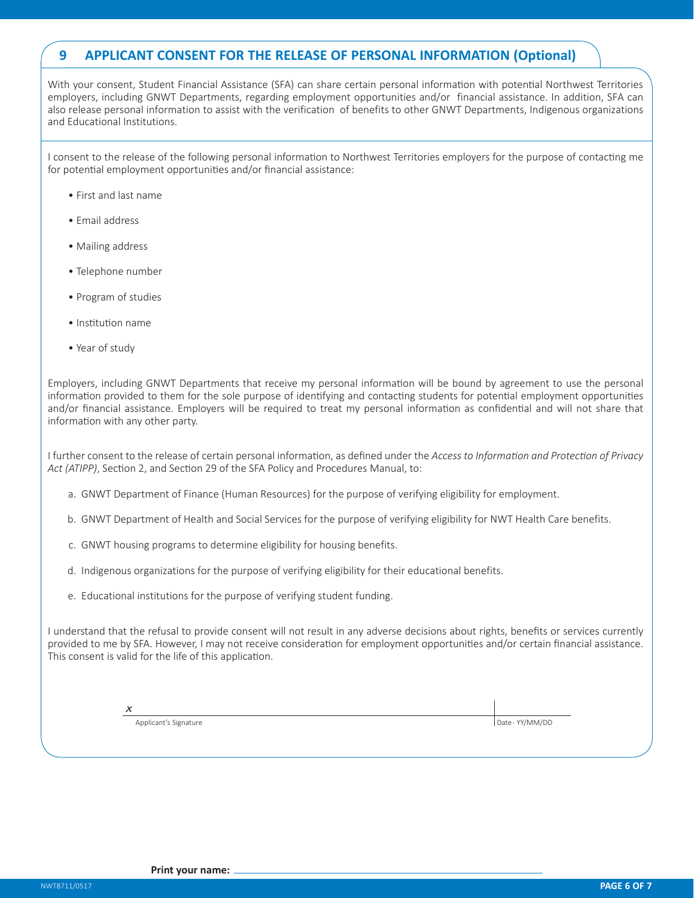#### **9 APPLICANT CONSENT FOR THE RELEASE OF PERSONAL INFORMATION (Optional)**

With your consent, Student Financial Assistance (SFA) can share certain personal information with potential Northwest Territories employers, including GNWT Departments, regarding employment opportunities and/or financial assistance. In addition, SFA can also release personal information to assist with the verification of benefits to other GNWT Departments, Indigenous organizations and Educational Institutions.

I consent to the release of the following personal information to Northwest Territories employers for the purpose of contacting me for potential employment opportunities and/or financial assistance:

- First and last name
- Email address
- Mailing address
- Telephone number
- Program of studies
- Institution name
- Year of study

Employers, including GNWT Departments that receive my personal information will be bound by agreement to use the personal information provided to them for the sole purpose of identifying and contacting students for potential employment opportunities and/or financial assistance. Employers will be required to treat my personal information as confidential and will not share that information with any other party.

I further consent to the release of certain personal information, as defined under the *Access to Information and Protection of Privacy Act (ATIPP)*, Section 2, and Section 29 of the SFA Policy and Procedures Manual, to:

- a. GNWT Department of Finance (Human Resources) for the purpose of verifying eligibility for employment.
- b. GNWT Department of Health and Social Services for the purpose of verifying eligibility for NWT Health Care benefits.
- c. GNWT housing programs to determine eligibility for housing benefits.
- d. Indigenous organizations for the purpose of verifying eligibility for their educational benefits.
- e. Educational institutions for the purpose of verifying student funding.

I understand that the refusal to provide consent will not result in any adverse decisions about rights, benefits or services currently provided to me by SFA. However, I may not receive consideration for employment opportunities and/or certain financial assistance. This consent is valid for the life of this application.

| i<br>v<br>on a |  |
|----------------|--|
|                |  |

Applicant's Signature **Date - YY/MM/DD**